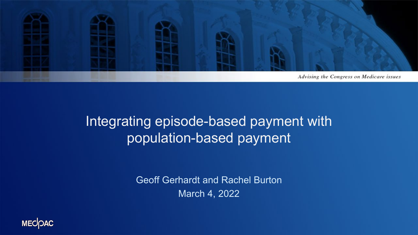

### Integrating episode-based payment with population-based payment

Geoff Gerhardt and Rachel Burton March 4, 2022

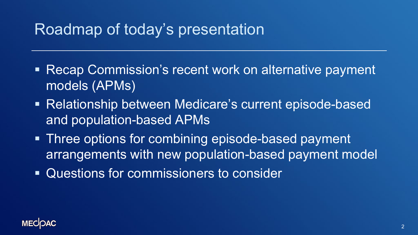## Roadmap of today's presentation

- Recap Commission's recent work on alternative payment models (APMs)
- Relationship between Medicare's current episode-based and population-based APMs
- **Three options for combining episode-based payment** arrangements with new population-based payment model
- Questions for commissioners to consider

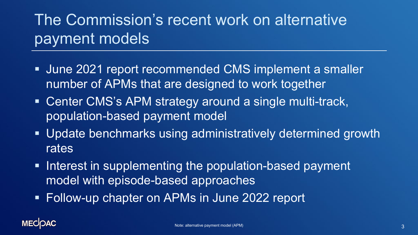# The Commission's recent work on alternative payment models

- June 2021 report recommended CMS implement a smaller number of APMs that are designed to work together
- **Center CMS's APM strategy around a single multi-track,** population-based payment model
- Update benchmarks using administratively determined growth rates
- **Interest in supplementing the population-based payment** model with episode-based approaches
- Follow-up chapter on APMs in June 2022 report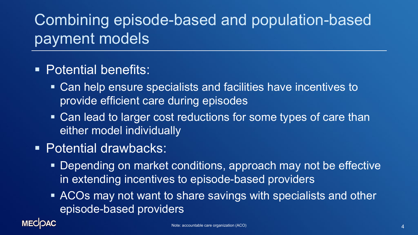# Combining episode-based and population-based payment models

- **Potential benefits:** 
	- Can help ensure specialists and facilities have incentives to provide efficient care during episodes
	- Can lead to larger cost reductions for some types of care than either model individually
- **Potential drawbacks:** 
	- Depending on market conditions, approach may not be effective in extending incentives to episode-based providers
	- **ACOs may not want to share savings with specialists and other** episode-based providers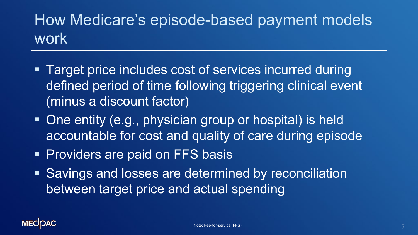# How Medicare's episode-based payment models work

- Target price includes cost of services incurred during defined period of time following triggering clinical event (minus a discount factor)
- One entity (e.g., physician group or hospital) is held accountable for cost and quality of care during episode
- **Providers are paid on FFS basis**
- Savings and losses are determined by reconciliation between target price and actual spending

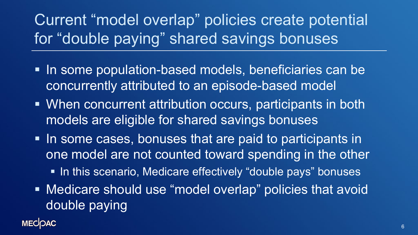Current "model overlap" policies create potential for "double paying" shared savings bonuses

- In some population-based models, beneficiaries can be concurrently attributed to an episode-based model
- When concurrent attribution occurs, participants in both models are eligible for shared savings bonuses
- **If a** In some cases, bonuses that are paid to participants in one model are not counted toward spending in the other
	- In this scenario, Medicare effectively "double pays" bonuses
- **Medicare should use "model overlap" policies that avoid** double paying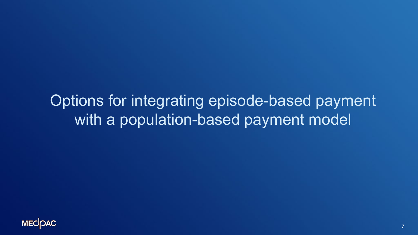Options for integrating episode-based payment with a population-based payment model

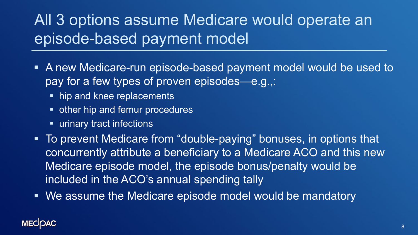# All 3 options assume Medicare would operate an episode-based payment model

- A new Medicare-run episode-based payment model would be used to pay for a few types of proven episodes—e.g.,:
	- hip and knee replacements
	- **other hip and femur procedures**
	- **Example 1 urinary tract infections**
- To prevent Medicare from "double-paying" bonuses, in options that concurrently attribute a beneficiary to a Medicare ACO and this new Medicare episode model, the episode bonus/penalty would be included in the ACO's annual spending tally
- We assume the Medicare episode model would be mandatory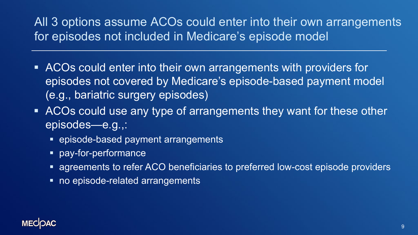### All 3 options assume ACOs could enter into their own arrangements for episodes not included in Medicare's episode model

- ACOs could enter into their own arrangements with providers for episodes not covered by Medicare's episode-based payment model (e.g., bariatric surgery episodes)
- ACOs could use any type of arrangements they want for these other episodes—e.g.,:
	- **EX episode-based payment arrangements**
	- pay-for-performance
	- agreements to refer ACO beneficiaries to preferred low-cost episode providers
	- no episode-related arrangements

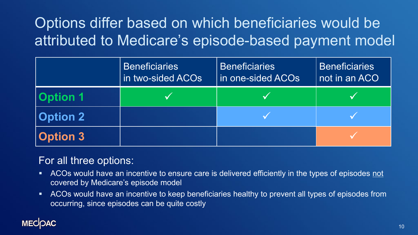# Options differ based on which beneficiaries would be attributed to Medicare's episode-based payment model

|                 | <b>Beneficiaries</b><br>in two-sided ACOs | <b>Beneficiaries</b><br>in one-sided ACOs | <b>Beneficiaries</b><br>not in an ACO |
|-----------------|-------------------------------------------|-------------------------------------------|---------------------------------------|
| <b>Option 1</b> |                                           |                                           |                                       |
| <b>Option 2</b> |                                           |                                           |                                       |
| <b>Option 3</b> |                                           |                                           |                                       |

### For all three options:

- ACOs would have an incentive to ensure care is delivered efficiently in the types of episodes not covered by Medicare's episode model
- ACOs would have an incentive to keep beneficiaries healthy to prevent all types of episodes from occurring, since episodes can be quite costly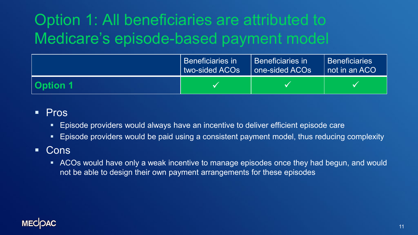# Option 1: All beneficiaries are attributed to Medicare's episode-based payment model

|                 | Beneficiaries in | l Beneficiaries in | Beneficiaries   |
|-----------------|------------------|--------------------|-----------------|
|                 | two-sided ACOs   | one-sided ACOs     | I not in an ACO |
| <b>Option 1</b> |                  |                    |                 |

#### **Pros**

- Episode providers would always have an incentive to deliver efficient episode care
- **Episode providers would be paid using a consistent payment model, thus reducing complexity**

### **Cons**

 ACOs would have only a weak incentive to manage episodes once they had begun, and would not be able to design their own payment arrangements for these episodes

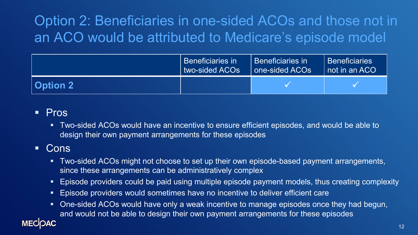## Option 2: Beneficiaries in one-sided ACOs and those not in an ACO would be attributed to Medicare's episode model

|          | Beneficiaries in | l Beneficiaries in | <b>Beneficiaries</b> |
|----------|------------------|--------------------|----------------------|
|          | I two-sided ACOs | one-sided ACOs     | I not in an ACO      |
| Option 2 |                  |                    |                      |

#### **Pros**

 Two-sided ACOs would have an incentive to ensure efficient episodes, and would be able to design their own payment arrangements for these episodes

### **Cons**

- **Two-sided ACOs might not choose to set up their own episode-based payment arrangements,** since these arrangements can be administratively complex
- Episode providers could be paid using multiple episode payment models, thus creating complexity
- **Episode providers would sometimes have no incentive to deliver efficient care**
- One-sided ACOs would have only a weak incentive to manage episodes once they had begun, and would not be able to design their own payment arrangements for these episodes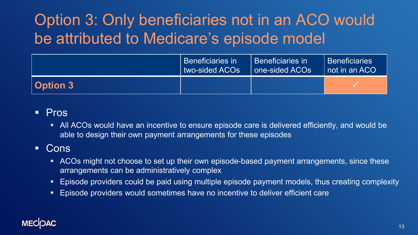# Option 3: Only beneficiaries not in an ACO would be attributed to Medicare's episode model

|                 | l Beneficiaries in | l Beneficiaries in | Beneficiaries   |
|-----------------|--------------------|--------------------|-----------------|
|                 | two-sided ACOs     | one-sided ACOs     | I not in an ACO |
| <b>Option 3</b> |                    |                    |                 |

#### **Pros**

 All ACOs would have an incentive to ensure episode care is delivered efficiently, and would be able to design their own payment arrangements for these episodes

### **Cons**

- **ACOs might not choose to set up their own episode-based payment arrangements, since these** arrangements can be administratively complex
- Episode providers could be paid using multiple episode payment models, thus creating complexity
- Episode providers would sometimes have no incentive to deliver efficient care

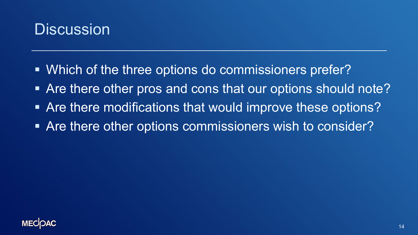### **Discussion**

- Which of the three options do commissioners prefer?
- Are there other pros and cons that our options should note?
- **Are there modifications that would improve these options?**
- Are there other options commissioners wish to consider?